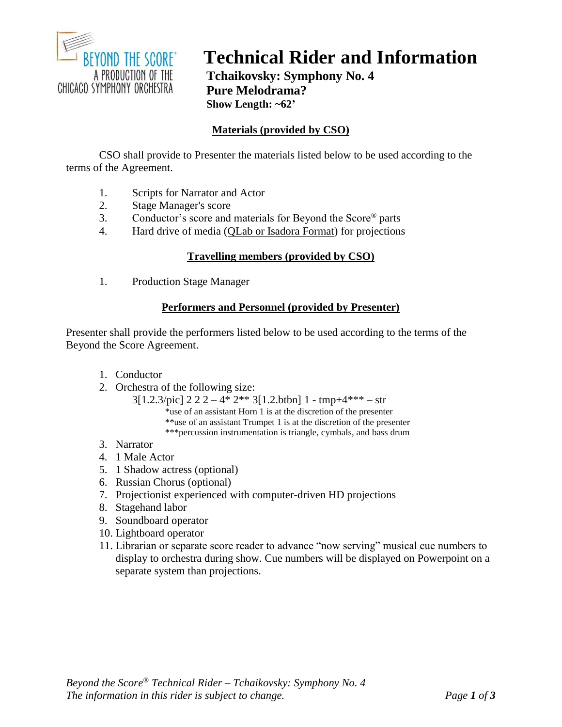

# **Technical Rider and Information**

**Tchaikovsky: Symphony No. 4 Pure Melodrama? Show Length: ~62'**

# **Materials (provided by CSO)**

CSO shall provide to Presenter the materials listed below to be used according to the terms of the Agreement.

- 1. Scripts for Narrator and Actor
- 2. Stage Manager's score
- 3. Conductor's score and materials for Beyond the Score® parts
- 4. Hard drive of media (QLab or Isadora Format) for projections

#### **Travelling members (provided by CSO)**

1. Production Stage Manager

#### **Performers and Personnel (provided by Presenter)**

Presenter shall provide the performers listed below to be used according to the terms of the Beyond the Score Agreement.

- 1. Conductor
- 2. Orchestra of the following size:

3[1.2.3/pic] 2 2 2 – 4\* 2\*\* 3[1.2.btbn] 1 - tmp+4\*\*\* – str \*use of an assistant Horn 1 is at the discretion of the presenter \*\*use of an assistant Trumpet 1 is at the discretion of the presenter \*\*\*percussion instrumentation is triangle, cymbals, and bass drum

- 3. Narrator
- 4. 1 Male Actor
- 5. 1 Shadow actress (optional)
- 6. Russian Chorus (optional)
- 7. Projectionist experienced with computer-driven HD projections
- 8. Stagehand labor
- 9. Soundboard operator
- 10. Lightboard operator
- 11. Librarian or separate score reader to advance "now serving" musical cue numbers to display to orchestra during show. Cue numbers will be displayed on Powerpoint on a separate system than projections.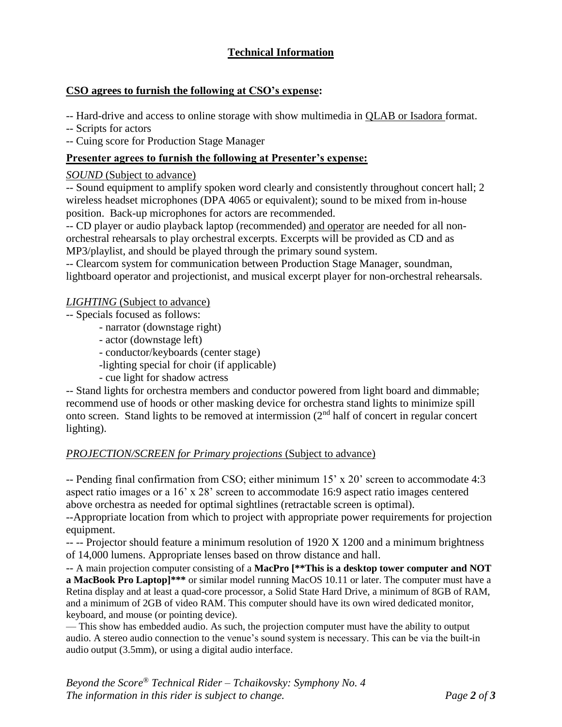# **Technical Information**

## **CSO agrees to furnish the following at CSO's expense:**

-- Hard-drive and access to online storage with show multimedia in QLAB or Isadora format.

-- Scripts for actors

-- Cuing score for Production Stage Manager

## **Presenter agrees to furnish the following at Presenter's expense:**

#### *SOUND* (Subject to advance)

-- Sound equipment to amplify spoken word clearly and consistently throughout concert hall; 2 wireless headset microphones (DPA 4065 or equivalent); sound to be mixed from in-house position. Back-up microphones for actors are recommended.

-- CD player or audio playback laptop (recommended) and operator are needed for all nonorchestral rehearsals to play orchestral excerpts. Excerpts will be provided as CD and as MP3/playlist, and should be played through the primary sound system.

-- Clearcom system for communication between Production Stage Manager, soundman, lightboard operator and projectionist, and musical excerpt player for non-orchestral rehearsals.

#### *LIGHTING* (Subject to advance)

- -- Specials focused as follows:
	- narrator (downstage right)
	- actor (downstage left)
	- conductor/keyboards (center stage)
	- -lighting special for choir (if applicable)
	- cue light for shadow actress

-- Stand lights for orchestra members and conductor powered from light board and dimmable; recommend use of hoods or other masking device for orchestra stand lights to minimize spill onto screen. Stand lights to be removed at intermission (2nd half of concert in regular concert lighting).

#### *PROJECTION/SCREEN for Primary projections* (Subject to advance)

-- Pending final confirmation from CSO; either minimum 15' x 20' screen to accommodate 4:3 aspect ratio images or a 16' x 28' screen to accommodate 16:9 aspect ratio images centered above orchestra as needed for optimal sightlines (retractable screen is optimal).

--Appropriate location from which to project with appropriate power requirements for projection equipment.

-- -- Projector should feature a minimum resolution of 1920 X 1200 and a minimum brightness of 14,000 lumens. Appropriate lenses based on throw distance and hall.

-- A main projection computer consisting of a **MacPro [\*\*This is a desktop tower computer and NOT a MacBook Pro Laptop]\*\*\*** or similar model running MacOS 10.11 or later. The computer must have a Retina display and at least a quad-core processor, a Solid State Hard Drive, a minimum of 8GB of RAM, and a minimum of 2GB of video RAM. This computer should have its own wired dedicated monitor, keyboard, and mouse (or pointing device).

— This show has embedded audio. As such, the projection computer must have the ability to output audio. A stereo audio connection to the venue's sound system is necessary. This can be via the built-in audio output (3.5mm), or using a digital audio interface.

*Beyond the Score® Technical Rider – Tchaikovsky: Symphony No. 4 The information in this rider is subject to change. Page 2 of 3*